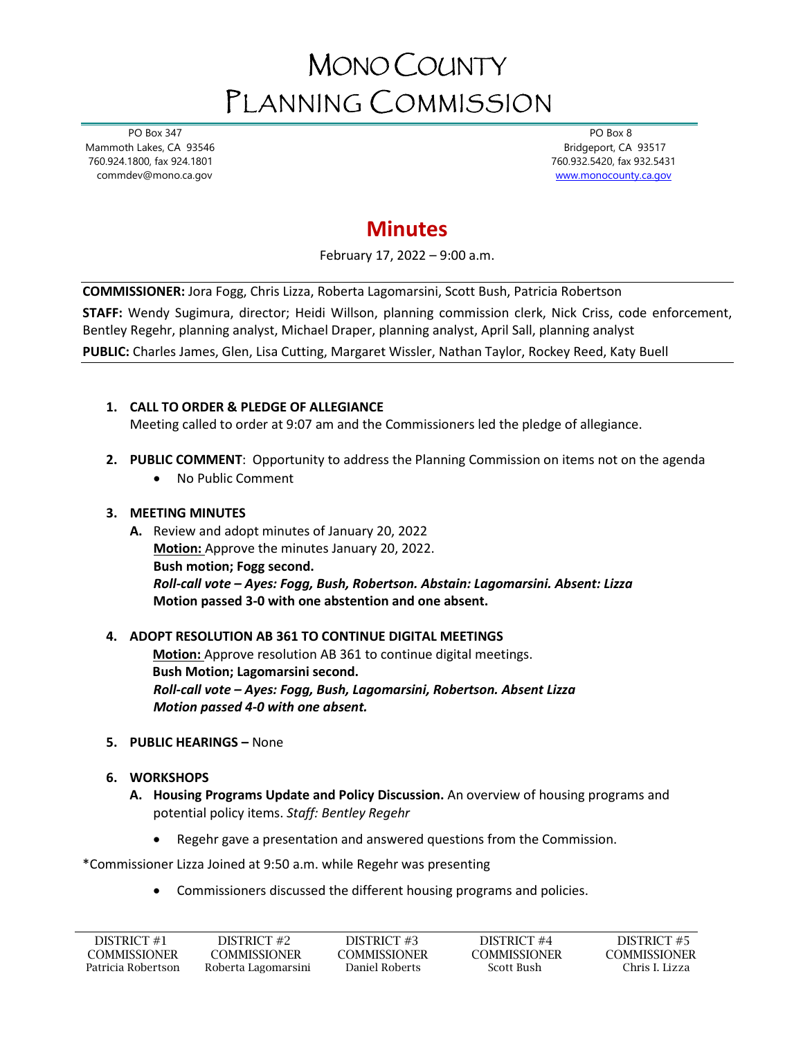# MONO COUNTY PLANNING COMMISSION

 PO Box 347 Mammoth Lakes, CA 93546 760.924.1800, fax 924.1801 commdev@mono.ca.gov

 PO Box 8 Bridgeport, CA 93517 760.932.5420, fax 932.5431 [www.monocounty.ca.gov](http://www.monocounty.ca.gov/) 

## **Minutes**

February 17, 2022 – 9:00 a.m.

**COMMISSIONER:** Jora Fogg, Chris Lizza, Roberta Lagomarsini, Scott Bush, Patricia Robertson

**STAFF:** Wendy Sugimura, director; Heidi Willson, planning commission clerk, Nick Criss, code enforcement, Bentley Regehr, planning analyst, Michael Draper, planning analyst, April Sall, planning analyst **PUBLIC:** Charles James, Glen, Lisa Cutting, Margaret Wissler, Nathan Taylor, Rockey Reed, Katy Buell

### **1. CALL TO ORDER & PLEDGE OF ALLEGIANCE**

Meeting called to order at 9:07 am and the Commissioners led the pledge of allegiance.

- **2. PUBLIC COMMENT**: Opportunity to address the Planning Commission on items not on the agenda
	- No Public Comment

#### **3. MEETING MINUTES**

**A.** Review and adopt minutes of January 20, 2022 **Motion:** Approve the minutes January 20, 2022. **Bush motion; Fogg second.** *Roll-call vote – Ayes: Fogg, Bush, Robertson. Abstain: Lagomarsini. Absent: Lizza*  **Motion passed 3-0 with one abstention and one absent.**

#### **4. ADOPT RESOLUTION AB 361 TO CONTINUE DIGITAL MEETINGS**

 **Motion:** Approve resolution AB 361 to continue digital meetings. **Bush Motion; Lagomarsini second.** *Roll-call vote – Ayes: Fogg, Bush, Lagomarsini, Robertson. Absent Lizza Motion passed 4-0 with one absent.*

- **5. PUBLIC HEARINGS –** None
- **6. WORKSHOPS**
	- **A. Housing Programs Update and Policy Discussion.** An overview of housing programs and potential policy items. *Staff: Bentley Regehr*
		- Regehr gave a presentation and answered questions from the Commission.

\*Commissioner Lizza Joined at 9:50 a.m. while Regehr was presenting

• Commissioners discussed the different housing programs and policies.